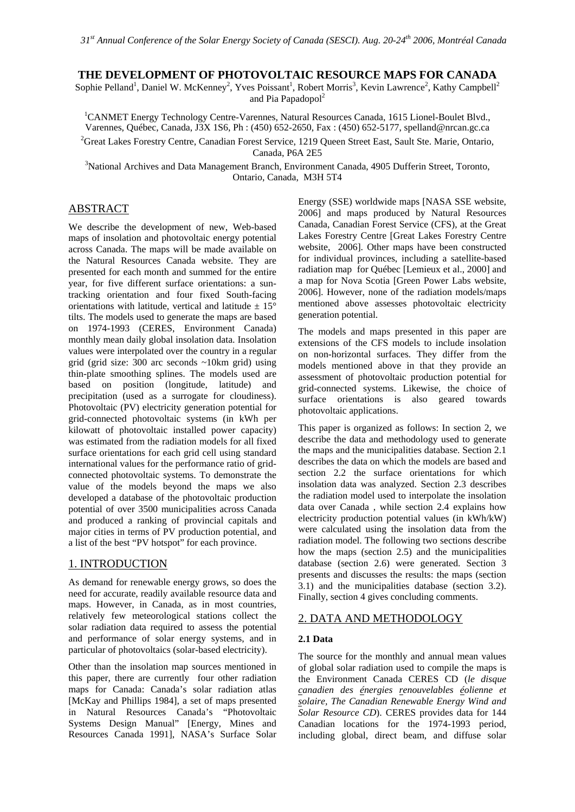## **THE DEVELOPMENT OF PHOTOVOLTAIC RESOURCE MAPS FOR CANADA**

Sophie Pelland<sup>1</sup>, Daniel W. McKenney<sup>2</sup>, Yves Poissant<sup>1</sup>, Robert Morris<sup>3</sup>, Kevin Lawrence<sup>2</sup>, Kathy Campbell<sup>2</sup> and Pia Papadopol<sup>2</sup>

<sup>1</sup>CANMET Energy Technology Centre-Varennes, Natural Resources Canada, 1615 Lionel-Boulet Blvd., Varennes, Québec, Canada, J3X 1S6, Ph : (450) 652-2650, Fax : (450) 652-5177, spelland@nrcan.gc.ca <sup>2</sup>Great Lakes Forestry Centre, Canadian Forest Service, 1219 Queen Street East, Sault Ste. Marie, Ontario,

Canada, P6A 2E5 3 National Archives and Data Management Branch, Environment Canada, 4905 Dufferin Street, Toronto, Ontario, Canada, M3H 5T4

# ABSTRACT

We describe the development of new, Web-based maps of insolation and photovoltaic energy potential across Canada. The maps will be made available on the Natural Resources Canada website. They are presented for each month and summed for the entire year, for five different surface orientations: a suntracking orientation and four fixed South-facing orientations with latitude, vertical and latitude  $\pm$  15° tilts. The models used to generate the maps are based on 1974-1993 (CERES, Environment Canada) monthly mean daily global insolation data. Insolation values were interpolated over the country in a regular grid (grid size: 300 arc seconds ~10km grid) using thin-plate smoothing splines. The models used are based on position (longitude, latitude) and precipitation (used as a surrogate for cloudiness). Photovoltaic (PV) electricity generation potential for grid-connected photovoltaic systems (in kWh per kilowatt of photovoltaic installed power capacity) was estimated from the radiation models for all fixed surface orientations for each grid cell using standard international values for the performance ratio of gridconnected photovoltaic systems. To demonstrate the value of the models beyond the maps we also developed a database of the photovoltaic production potential of over 3500 municipalities across Canada and produced a ranking of provincial capitals and major cities in terms of PV production potential, and a list of the best "PV hotspot" for each province.

# 1. INTRODUCTION

As demand for renewable energy grows, so does the need for accurate, readily available resource data and maps. However, in Canada, as in most countries, relatively few meteorological stations collect the solar radiation data required to assess the potential and performance of solar energy systems, and in particular of photovoltaics (solar-based electricity).

Other than the insolation map sources mentioned in this paper, there are currently four other radiation maps for Canada: Canada's solar radiation atlas [McKay and Phillips 1984], a set of maps presented in Natural Resources Canada's "Photovoltaic Systems Design Manual" [Energy, Mines and Resources Canada 1991], NASA's Surface Solar

Energy (SSE) worldwide maps [NASA SSE website, 2006] and maps produced by Natural Resources Canada, Canadian Forest Service (CFS), at the Great Lakes Forestry Centre [Great Lakes Forestry Centre website, 2006]. Other maps have been constructed for individual provinces, including a satellite-based radiation map for Québec [Lemieux et al., 2000] and a map for Nova Scotia [Green Power Labs website, 2006]. However, none of the radiation models/maps mentioned above assesses photovoltaic electricity generation potential.

The models and maps presented in this paper are extensions of the CFS models to include insolation on non-horizontal surfaces. They differ from the models mentioned above in that they provide an assessment of photovoltaic production potential for grid-connected systems. Likewise, the choice of surface orientations is also geared towards photovoltaic applications.

This paper is organized as follows: In section 2, we describe the data and methodology used to generate the maps and the municipalities database. Section 2.1 describes the data on which the models are based and section 2.2 the surface orientations for which insolation data was analyzed. Section 2.3 describes the radiation model used to interpolate the insolation data over Canada , while section 2.4 explains how electricity production potential values (in kWh/kW) were calculated using the insolation data from the radiation model. The following two sections describe how the maps (section 2.5) and the municipalities database (section 2.6) were generated. Section 3 presents and discusses the results: the maps (section 3.1) and the municipalities database (section 3.2). Finally, section 4 gives concluding comments.

## 2. DATA AND METHODOLOGY

## **2.1 Data**

The source for the monthly and annual mean values of global solar radiation used to compile the maps is the Environment Canada CERES CD (*le disque canadien des énergies renouvelables éolienne et solaire, The Canadian Renewable Energy Wind and Solar Resource CD*). CERES provides data for 144 Canadian locations for the 1974-1993 period, including global, direct beam, and diffuse solar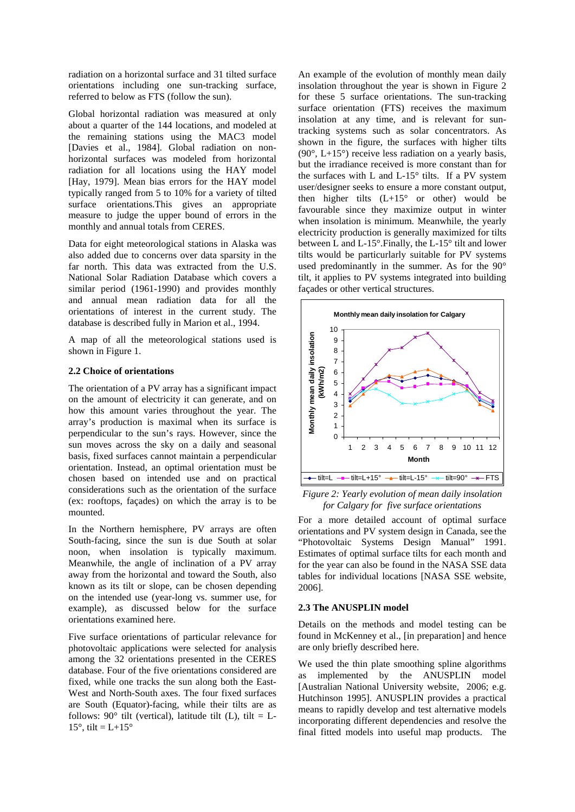radiation on a horizontal surface and 31 tilted surface orientations including one sun-tracking surface, referred to below as FTS (follow the sun).

Global horizontal radiation was measured at only about a quarter of the 144 locations, and modeled at the remaining stations using the MAC3 model [Davies et al., 1984]. Global radiation on nonhorizontal surfaces was modeled from horizontal radiation for all locations using the HAY model [Hay, 1979]. Mean bias errors for the HAY model typically ranged from 5 to 10% for a variety of tilted surface orientations.This gives an appropriate measure to judge the upper bound of errors in the monthly and annual totals from CERES.

Data for eight meteorological stations in Alaska was also added due to concerns over data sparsity in the far north. This data was extracted from the U.S. National Solar Radiation Database which covers a similar period (1961-1990) and provides monthly and annual mean radiation data for all the orientations of interest in the current study. The database is described fully in Marion et al., 1994.

A map of all the meteorological stations used is shown in Figure 1.

### **2.2 Choice of orientations**

The orientation of a PV array has a significant impact on the amount of electricity it can generate, and on how this amount varies throughout the year. The array's production is maximal when its surface is perpendicular to the sun's rays. However, since the sun moves across the sky on a daily and seasonal basis, fixed surfaces cannot maintain a perpendicular orientation. Instead, an optimal orientation must be chosen based on intended use and on practical considerations such as the orientation of the surface (ex: rooftops, façades) on which the array is to be mounted.

In the Northern hemisphere, PV arrays are often South-facing, since the sun is due South at solar noon, when insolation is typically maximum. Meanwhile, the angle of inclination of a PV array away from the horizontal and toward the South, also known as its tilt or slope, can be chosen depending on the intended use (year-long vs. summer use, for example), as discussed below for the surface orientations examined here.

Five surface orientations of particular relevance for photovoltaic applications were selected for analysis among the 32 orientations presented in the CERES database. Four of the five orientations considered are fixed, while one tracks the sun along both the East-West and North-South axes. The four fixed surfaces are South (Equator)-facing, while their tilts are as follows: 90 $^{\circ}$  tilt (vertical), latitude tilt (L), tilt = L-15 $\degree$ , tilt = L+15 $\degree$ 

An example of the evolution of monthly mean daily insolation throughout the year is shown in Figure 2 for these 5 surface orientations. The sun-tracking surface orientation (FTS) receives the maximum insolation at any time, and is relevant for suntracking systems such as solar concentrators. As shown in the figure, the surfaces with higher tilts  $(90^\circ, L+15^\circ)$  receive less radiation on a yearly basis, but the irradiance received is more constant than for the surfaces with L and  $L-15^{\circ}$  tilts. If a PV system user/designer seeks to ensure a more constant output, then higher tilts  $(L+15^{\circ}$  or other) would be favourable since they maximize output in winter when insolation is minimum. Meanwhile, the yearly electricity production is generally maximized for tilts between L and L-15°.Finally, the L-15° tilt and lower tilts would be particurlarly suitable for PV systems used predominantly in the summer. As for the 90° tilt, it applies to PV systems integrated into building façades or other vertical structures.



*Figure 2: Yearly evolution of mean daily insolation for Calgary for five surface orientations* 

For a more detailed account of optimal surface orientations and PV system design in Canada, see the "Photovoltaic Systems Design Manual" 1991. Estimates of optimal surface tilts for each month and for the year can also be found in the NASA SSE data tables for individual locations [NASA SSE website, 2006].

### **2.3 The ANUSPLIN model**

Details on the methods and model testing can be found in McKenney et al., [in preparation] and hence are only briefly described here.

We used the thin plate smoothing spline algorithms as implemented by the ANUSPLIN model [Australian National University website, 2006; e.g. Hutchinson 1995]. ANUSPLIN provides a practical means to rapidly develop and test alternative models incorporating different dependencies and resolve the final fitted models into useful map products. The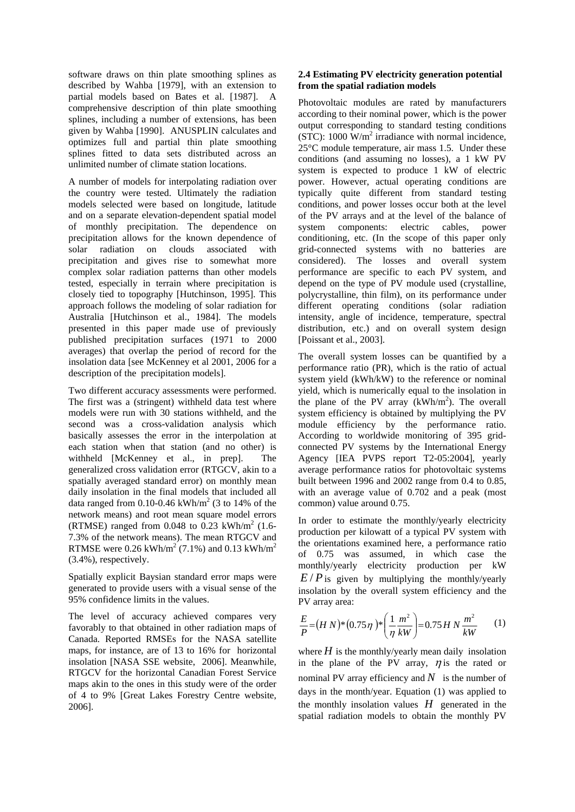software draws on thin plate smoothing splines as described by Wahba [1979], with an extension to partial models based on Bates et al. [1987]. A comprehensive description of thin plate smoothing splines, including a number of extensions, has been given by Wahba [1990]. ANUSPLIN calculates and optimizes full and partial thin plate smoothing splines fitted to data sets distributed across an unlimited number of climate station locations.

A number of models for interpolating radiation over the country were tested. Ultimately the radiation models selected were based on longitude, latitude and on a separate elevation-dependent spatial model of monthly precipitation. The dependence on precipitation allows for the known dependence of solar radiation on clouds associated with precipitation and gives rise to somewhat more complex solar radiation patterns than other models tested, especially in terrain where precipitation is closely tied to topography [Hutchinson, 1995]. This approach follows the modeling of solar radiation for Australia [Hutchinson et al., 1984]. The models presented in this paper made use of previously published precipitation surfaces (1971 to 2000 averages) that overlap the period of record for the insolation data [see McKenney et al 2001, 2006 for a description of the precipitation models].

Two different accuracy assessments were performed. The first was a (stringent) withheld data test where models were run with 30 stations withheld, and the second was a cross-validation analysis which basically assesses the error in the interpolation at each station when that station (and no other) is withheld [McKenney et al., in prep]. The generalized cross validation error (RTGCV, akin to a spatially averaged standard error) on monthly mean daily insolation in the final models that included all data ranged from  $0.10$ -0.46 kWh/m<sup>2</sup> (3 to 14% of the network means) and root mean square model errors (RTMSE) ranged from  $0.048$  to  $0.23$  kWh/m<sup>2</sup> (1.6-7.3% of the network means). The mean RTGCV and RTMSE were  $0.26$  kWh/m<sup>2</sup> (7.1%) and  $0.13$  kWh/m<sup>2</sup> (3.4%), respectively.

Spatially explicit Baysian standard error maps were generated to provide users with a visual sense of the 95% confidence limits in the values.

The level of accuracy achieved compares very favorably to that obtained in other radiation maps of Canada. Reported RMSEs for the NASA satellite maps, for instance, are of 13 to 16% for horizontal insolation [NASA SSE website, 2006]. Meanwhile, RTGCV for the horizontal Canadian Forest Service maps akin to the ones in this study were of the order of 4 to 9% [Great Lakes Forestry Centre website, 2006].

## **2.4 Estimating PV electricity generation potential from the spatial radiation models**

Photovoltaic modules are rated by manufacturers according to their nominal power, which is the power output corresponding to standard testing conditions  $(STC)$ : 1000  $W/m<sup>2</sup>$  irradiance with normal incidence, 25°C module temperature, air mass 1.5. Under these conditions (and assuming no losses), a 1 kW PV system is expected to produce 1 kW of electric power. However, actual operating conditions are typically quite different from standard testing conditions, and power losses occur both at the level of the PV arrays and at the level of the balance of system components: electric cables, power conditioning, etc. (In the scope of this paper only grid-connected systems with no batteries are considered). The losses and overall system performance are specific to each PV system, and depend on the type of PV module used (crystalline, polycrystalline, thin film), on its performance under different operating conditions (solar radiation intensity, angle of incidence, temperature, spectral distribution, etc.) and on overall system design [Poissant et al., 2003].

The overall system losses can be quantified by a performance ratio (PR), which is the ratio of actual system yield (kWh/kW) to the reference or nominal yield, which is numerically equal to the insolation in the plane of the PV array  $(kWh/m<sup>2</sup>)$ . The overall system efficiency is obtained by multiplying the PV module efficiency by the performance ratio. According to worldwide monitoring of 395 gridconnected PV systems by the International Energy Agency [IEA PVPS report T2-05:2004], yearly average performance ratios for photovoltaic systems built between 1996 and 2002 range from 0.4 to 0.85, with an average value of 0.702 and a peak (most common) value around 0.75.

In order to estimate the monthly/yearly electricity production per kilowatt of a typical PV system with the orientations examined here, a performance ratio of 0.75 was assumed, in which case the monthly/yearly electricity production per kW  $E/P$  is given by multiplying the monthly/yearly insolation by the overall system efficiency and the PV array area:

$$
\frac{E}{P} = (HN)^{*}(0.75\,\eta)^{*}\left(\frac{1}{\eta}\frac{m^{2}}{kW}\right) = 0.75\,H\,N\,\frac{m^{2}}{kW} \tag{1}
$$

where  $H$  is the monthly/yearly mean daily insolation in the plane of the PV array,  $\eta$  is the rated or nominal PV array efficiency and  $N$  is the number of days in the month/year. Equation (1) was applied to the monthly insolation values  $H$  generated in the spatial radiation models to obtain the monthly PV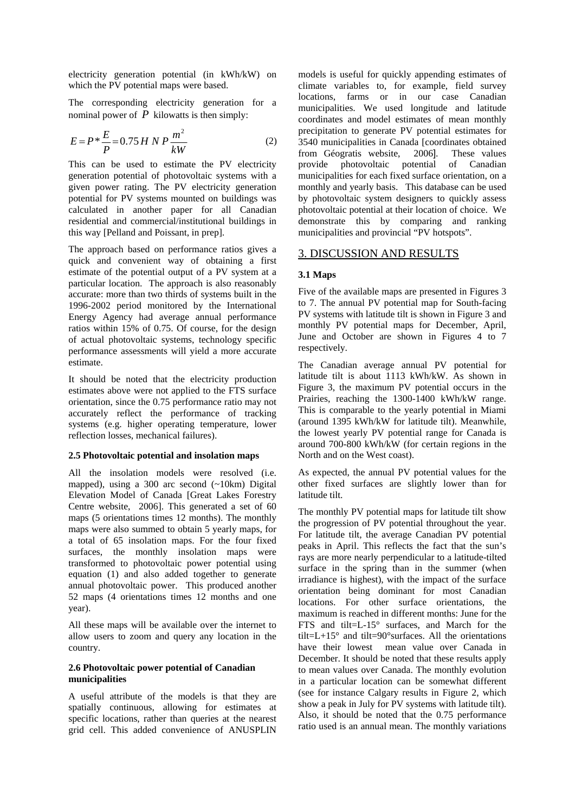electricity generation potential (in kWh/kW) on which the PV potential maps were based.

The corresponding electricity generation for a nominal power of  $P$  kilowatts is then simply:

$$
E = P * \frac{E}{P} = 0.75 H N P \frac{m^2}{kW}
$$
 (2)

This can be used to estimate the PV electricity generation potential of photovoltaic systems with a given power rating. The PV electricity generation potential for PV systems mounted on buildings was calculated in another paper for all Canadian residential and commercial/institutional buildings in this way [Pelland and Poissant, in prep].

The approach based on performance ratios gives a quick and convenient way of obtaining a first estimate of the potential output of a PV system at a particular location. The approach is also reasonably accurate: more than two thirds of systems built in the 1996-2002 period monitored by the International Energy Agency had average annual performance ratios within 15% of 0.75. Of course, for the design of actual photovoltaic systems, technology specific performance assessments will yield a more accurate estimate.

It should be noted that the electricity production estimates above were not applied to the FTS surface orientation, since the 0.75 performance ratio may not accurately reflect the performance of tracking systems (e.g. higher operating temperature, lower reflection losses, mechanical failures).

#### **2.5 Photovoltaic potential and insolation maps**

All the insolation models were resolved (i.e. mapped), using a 300 arc second (~10km) Digital Elevation Model of Canada [Great Lakes Forestry Centre website, 2006]. This generated a set of 60 maps (5 orientations times 12 months). The monthly maps were also summed to obtain 5 yearly maps, for a total of 65 insolation maps. For the four fixed surfaces, the monthly insolation maps were transformed to photovoltaic power potential using equation (1) and also added together to generate annual photovoltaic power. This produced another 52 maps (4 orientations times 12 months and one year).

All these maps will be available over the internet to allow users to zoom and query any location in the country.

### **2.6 Photovoltaic power potential of Canadian municipalities**

A useful attribute of the models is that they are spatially continuous, allowing for estimates at specific locations, rather than queries at the nearest grid cell. This added convenience of ANUSPLIN models is useful for quickly appending estimates of climate variables to, for example, field survey locations, farms or in our case Canadian municipalities. We used longitude and latitude coordinates and model estimates of mean monthly precipitation to generate PV potential estimates for 3540 municipalities in Canada [coordinates obtained from Géogratis website, 2006]. provide photovoltaic potential of Canadian municipalities for each fixed surface orientation, on a monthly and yearly basis. This database can be used by photovoltaic system designers to quickly assess photovoltaic potential at their location of choice. We demonstrate this by comparing and ranking municipalities and provincial "PV hotspots".

## 3. DISCUSSION AND RESULTS

### **3.1 Maps**

Five of the available maps are presented in Figures 3 to 7. The annual PV potential map for South-facing PV systems with latitude tilt is shown in Figure 3 and monthly PV potential maps for December, April, June and October are shown in Figures 4 to 7 respectively.

The Canadian average annual PV potential for latitude tilt is about 1113 kWh/kW. As shown in Figure 3, the maximum PV potential occurs in the Prairies, reaching the 1300-1400 kWh/kW range. This is comparable to the yearly potential in Miami (around 1395 kWh/kW for latitude tilt). Meanwhile, the lowest yearly PV potential range for Canada is around 700-800 kWh/kW (for certain regions in the North and on the West coast).

As expected, the annual PV potential values for the other fixed surfaces are slightly lower than for latitude tilt.

The monthly PV potential maps for latitude tilt show the progression of PV potential throughout the year. For latitude tilt, the average Canadian PV potential peaks in April. This reflects the fact that the sun's rays are more nearly perpendicular to a latitude-tilted surface in the spring than in the summer (when irradiance is highest), with the impact of the surface orientation being dominant for most Canadian locations. For other surface orientations, the maximum is reached in different months: June for the FTS and tilt=L-15° surfaces, and March for the tilt= $L+15^{\circ}$  and tilt=90°surfaces. All the orientations have their lowest mean value over Canada in December. It should be noted that these results apply to mean values over Canada. The monthly evolution in a particular location can be somewhat different (see for instance Calgary results in Figure 2, which show a peak in July for PV systems with latitude tilt). Also, it should be noted that the 0.75 performance ratio used is an annual mean. The monthly variations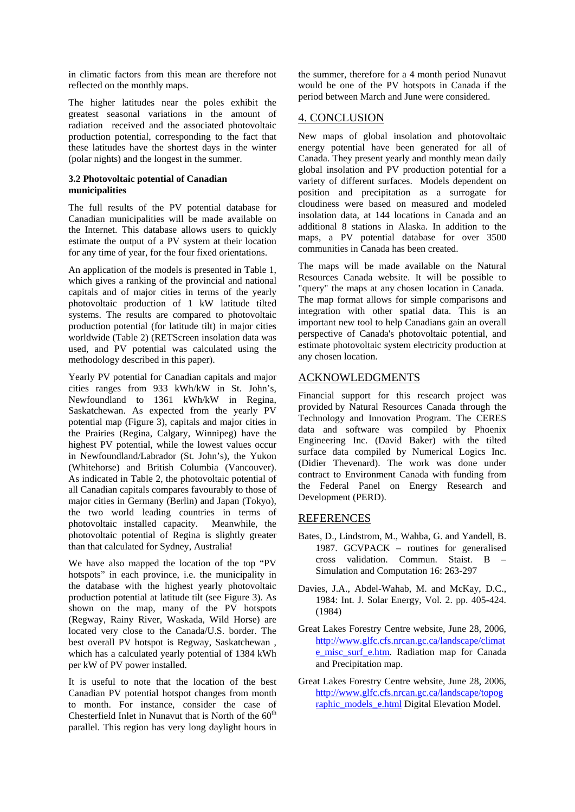in climatic factors from this mean are therefore not reflected on the monthly maps.

The higher latitudes near the poles exhibit the greatest seasonal variations in the amount of radiation received and the associated photovoltaic production potential, corresponding to the fact that these latitudes have the shortest days in the winter (polar nights) and the longest in the summer.

### **3.2 Photovoltaic potential of Canadian municipalities**

The full results of the PV potential database for Canadian municipalities will be made available on the Internet. This database allows users to quickly estimate the output of a PV system at their location for any time of year, for the four fixed orientations.

An application of the models is presented in Table 1, which gives a ranking of the provincial and national capitals and of major cities in terms of the yearly photovoltaic production of 1 kW latitude tilted systems. The results are compared to photovoltaic production potential (for latitude tilt) in major cities worldwide (Table 2) (RETScreen insolation data was used, and PV potential was calculated using the methodology described in this paper).

Yearly PV potential for Canadian capitals and major cities ranges from 933 kWh/kW in St. John's, Newfoundland to 1361 kWh/kW in Regina, Saskatchewan. As expected from the yearly PV potential map (Figure 3), capitals and major cities in the Prairies (Regina, Calgary, Winnipeg) have the highest PV potential, while the lowest values occur in Newfoundland/Labrador (St. John's), the Yukon (Whitehorse) and British Columbia (Vancouver). As indicated in Table 2, the photovoltaic potential of all Canadian capitals compares favourably to those of major cities in Germany (Berlin) and Japan (Tokyo), the two world leading countries in terms of photovoltaic installed capacity. Meanwhile, the photovoltaic potential of Regina is slightly greater than that calculated for Sydney, Australia!

We have also mapped the location of the top "PV hotspots" in each province, i.e. the municipality in the database with the highest yearly photovoltaic production potential at latitude tilt (see Figure 3). As shown on the map, many of the PV hotspots (Regway, Rainy River, Waskada, Wild Horse) are located very close to the Canada/U.S. border. The best overall PV hotspot is Regway, Saskatchewan , which has a calculated yearly potential of 1384 kWh per kW of PV power installed.

It is useful to note that the location of the best Canadian PV potential hotspot changes from month to month. For instance, consider the case of Chesterfield Inlet in Nunavut that is North of the  $60<sup>th</sup>$ parallel. This region has very long daylight hours in

the summer, therefore for a 4 month period Nunavut would be one of the PV hotspots in Canada if the period between March and June were considered.

# 4. CONCLUSION

New maps of global insolation and photovoltaic energy potential have been generated for all of Canada. They present yearly and monthly mean daily global insolation and PV production potential for a variety of different surfaces. Models dependent on position and precipitation as a surrogate for cloudiness were based on measured and modeled insolation data, at 144 locations in Canada and an additional 8 stations in Alaska. In addition to the maps, a PV potential database for over 3500 communities in Canada has been created.

The maps will be made available on the Natural Resources Canada website. It will be possible to "query" the maps at any chosen location in Canada. The map format allows for simple comparisons and integration with other spatial data. This is an important new tool to help Canadians gain an overall perspective of Canada's photovoltaic potential, and estimate photovoltaic system electricity production at any chosen location.

# ACKNOWLEDGMENTS

Financial support for this research project was provided by Natural Resources Canada through the Technology and Innovation Program. The CERES data and software was compiled by Phoenix Engineering Inc. (David Baker) with the tilted surface data compiled by Numerical Logics Inc. (Didier Thevenard). The work was done under contract to Environment Canada with funding from the Federal Panel on Energy Research and Development (PERD).

# REFERENCES

- Bates, D., Lindstrom, M., Wahba, G. and Yandell, B. 1987. GCVPACK – routines for generalised cross validation. Commun. Staist. B – Simulation and Computation 16: 263-297
- Davies, J.A., Abdel-Wahab, M. and McKay, D.C., 1984: Int. J. Solar Energy, Vol. 2. pp. 405-424. (1984)
- Great Lakes Forestry Centre website, June 28, 2006, [http://www.glfc.cfs.nrcan.gc.ca/landscape/climat](http://www.glfc.cfs.nrcan.gc.ca/landscape/climate_misc_surf_e.htm) [e\\_misc\\_surf\\_e.htm.](http://www.glfc.cfs.nrcan.gc.ca/landscape/climate_misc_surf_e.htm) Radiation map for Canada and Precipitation map.
- Great Lakes Forestry Centre website, June 28, 2006, [http://www.glfc.cfs.nrcan.gc.ca/landscape/topog](http://www.glfc.cfs.nrcan.gc.ca/landscape/topographic_models_e.html) [raphic\\_models\\_e.html](http://www.glfc.cfs.nrcan.gc.ca/landscape/topographic_models_e.html) Digital Elevation Model.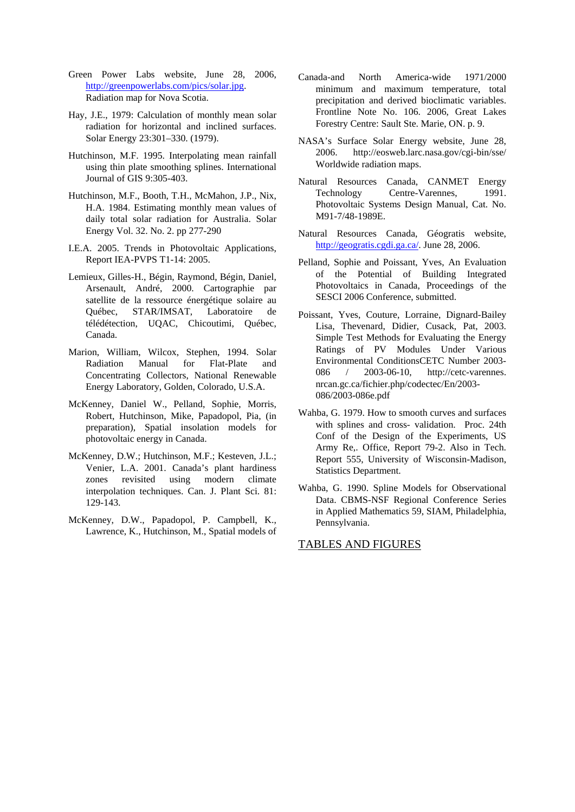- Green Power Labs website, June 28, 2006, [http://greenpowerlabs.com/pics/solar.jpg.](http://greenpowerlabs.com/pics/solar.jpg) Radiation map for Nova Scotia.
- Hay, J.E., 1979: Calculation of monthly mean solar radiation for horizontal and inclined surfaces. Solar Energy 23:301–330. (1979).
- Hutchinson, M.F. 1995. Interpolating mean rainfall using thin plate smoothing splines. International Journal of GIS 9:305-403.
- Hutchinson, M.F., Booth, T.H., McMahon, J.P., Nix, H.A. 1984. Estimating monthly mean values of daily total solar radiation for Australia. Solar Energy Vol. 32. No. 2. pp 277-290
- I.E.A. 2005. Trends in Photovoltaic Applications, Report IEA-PVPS T1-14: 2005.
- Lemieux, Gilles-H., Bégin, Raymond, Bégin, Daniel, Arsenault, André, 2000. Cartographie par satellite de la ressource énergétique solaire au Québec, STAR/IMSAT, Laboratoire de télédétection, UQAC, Chicoutimi, Québec, Canada.
- Marion, William, Wilcox, Stephen, 1994. Solar Radiation Manual for Flat-Plate and Concentrating Collectors, National Renewable Energy Laboratory, Golden, Colorado, U.S.A.
- McKenney, Daniel W., Pelland, Sophie, Morris, Robert, Hutchinson, Mike, Papadopol, Pia, (in preparation), Spatial insolation models for photovoltaic energy in Canada.
- McKenney, D.W.; Hutchinson, M.F.; Kesteven, J.L.; Venier, L.A. 2001. Canada's plant hardiness zones revisited using modern climate interpolation techniques. Can. J. Plant Sci. 81: 129-143.
- McKenney, D.W., Papadopol, P. Campbell, K., Lawrence, K., Hutchinson, M., Spatial models of
- Canada-and North America-wide 1971/2000 minimum and maximum temperature, total precipitation and derived bioclimatic variables. Frontline Note No. 106. 2006, Great Lakes Forestry Centre: Sault Ste. Marie, ON. p. 9.
- NASA's Surface Solar Energy website, June 28, 2006. http://eosweb.larc.nasa.gov/cgi-bin/sse/ Worldwide radiation maps.
- Natural Resources Canada, CANMET Energy Technology Centre-Varennes, 1991. Photovoltaic Systems Design Manual, Cat. No. M91-7/48-1989E.
- Natural Resources Canada, Géogratis website, [http://geogratis.cgdi.ga.ca/.](http://geogratis.cgdi.ga.ca/) June 28, 2006.
- Pelland, Sophie and Poissant, Yves, An Evaluation of the Potential of Building Integrated Photovoltaics in Canada, Proceedings of the SESCI 2006 Conference, submitted.
- Poissant, Yves, Couture, Lorraine, Dignard-Bailey Lisa, Thevenard, Didier, Cusack, Pat, 2003. Simple Test Methods for Evaluating the Energy Ratings of PV Modules Under Various Environmental ConditionsCETC Number 2003- 086 / 2003-06-10, http://cetc-varennes. nrcan.gc.ca/fichier.php/codectec/En/2003- 086/2003-086e.pdf
- Wahba, G. 1979. How to smooth curves and surfaces with splines and cross- validation. Proc. 24th Conf of the Design of the Experiments, US Army Re,. Office, Report 79-2. Also in Tech. Report 555, University of Wisconsin-Madison, Statistics Department.
- Wahba, G. 1990. Spline Models for Observational Data. CBMS-NSF Regional Conference Series in Applied Mathematics 59, SIAM, Philadelphia, Pennsylvania.

TABLES AND FIGURES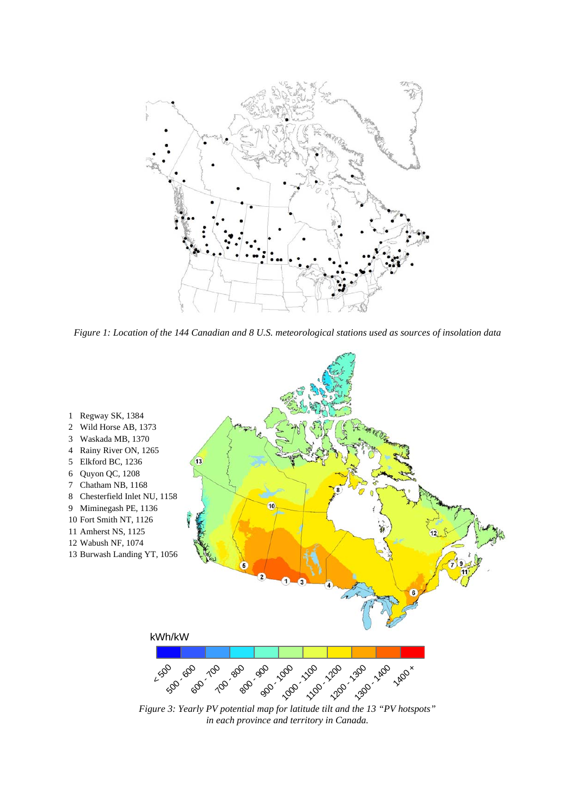

*Figure 1: Location of the 144 Canadian and 8 U.S. meteorological stations used as sources of insolation data* 



*Figure 3: Yearly PV potential map for latitude tilt and the 13 "PV hotspots" in each province and territory in Canada.*